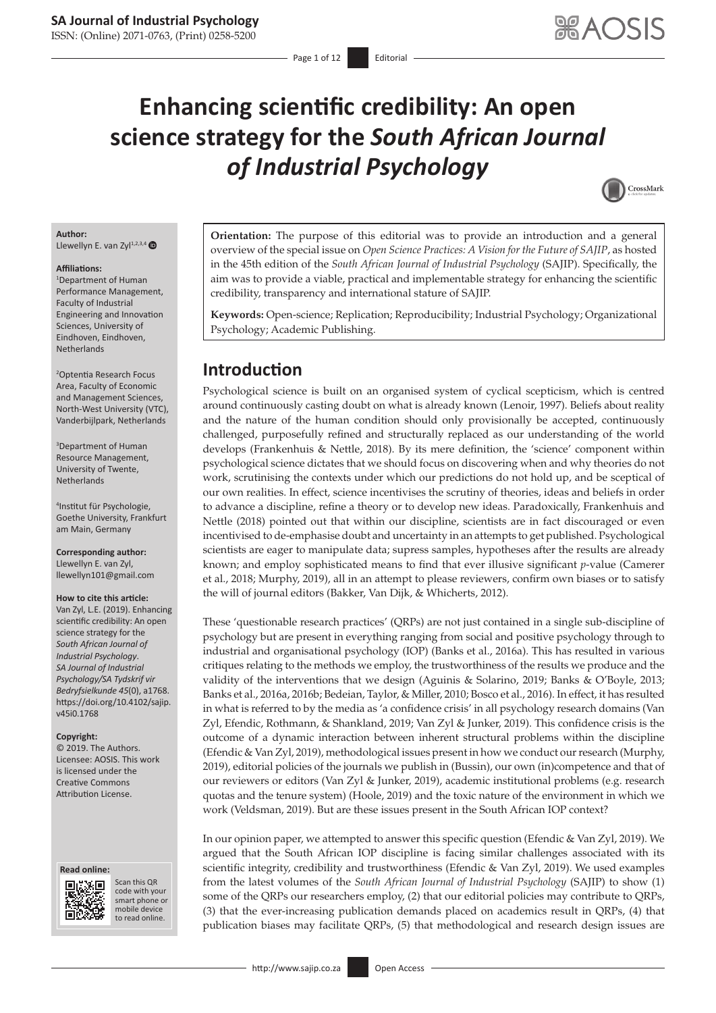# **Enhancing scientific credibility: An open science strategy for the** *South African Journal of Industrial Psychology*



#### **Author:** Llewellyn E. van Zyl<sup>1,2,3,4</sup>

#### **Affiliations:**

1 Department of Human Performance Management, Faculty of Industrial Engineering and Innovation Sciences, University of Eindhoven, Eindhoven, Netherlands

2 Optentia Research Focus Area, Faculty of Economic and Management Sciences, North-West University (VTC), Vanderbijlpark, Netherlands

3 Department of Human Resource Management, University of Twente, Netherlands

4 Institut für Psychologie, Goethe University, Frankfurt am Main, Germany

**Corresponding author:** Llewellyn E. van Zyl, [llewellyn101@gmail.com](mailto:llewellyn101@gmail.com)

#### **How to cite this article:**

Van Zyl, L.E. (2019). Enhancing scientific credibility: An open science strategy for the *South African Journal of Industrial Psychology*. *SA Journal of Industrial Psychology/SA Tydskrif vir Bedryfsielkunde 45*(0), a1768. [https://doi.org/10.4102/sajip.](https://doi.org/10.4102/sajip.v45i0.1768) [v45i0.1768](https://doi.org/10.4102/sajip.v45i0.1768)

#### **Copyright:**

© 2019. The Authors. Licensee: AOSIS. This work is licensed under the Creative Commons Attribution License.





Scan this QR code with your Scan this QR<br>code with your<br>smart phone or<br>mobile device mobile device to read online. to read online.

**Orientation:** The purpose of this editorial was to provide an introduction and a general overview of the special issue on *Open Science Practices: A Vision for the Future of SAJIP*, as hosted in the 45th edition of the *South African Journal of Industrial Psychology* (SAJIP). Specifically, the aim was to provide a viable, practical and implementable strategy for enhancing the scientific credibility, transparency and international stature of SAJIP.

**Keywords:** Open-science; Replication; Reproducibility; Industrial Psychology; Organizational Psychology; Academic Publishing.

### **Introduction**

Psychological science is built on an organised system of cyclical scepticism, which is centred around continuously casting doubt on what is already known (Lenoir, 1997). Beliefs about reality and the nature of the human condition should only provisionally be accepted, continuously challenged, purposefully refined and structurally replaced as our understanding of the world develops (Frankenhuis & Nettle, 2018). By its mere definition, the 'science' component within psychological science dictates that we should focus on discovering when and why theories do not work, scrutinising the contexts under which our predictions do not hold up, and be sceptical of our own realities. In effect, science incentivises the scrutiny of theories, ideas and beliefs in order to advance a discipline, refine a theory or to develop new ideas. Paradoxically, Frankenhuis and Nettle (2018) pointed out that within our discipline, scientists are in fact discouraged or even incentivised to de-emphasise doubt and uncertainty in an attempts to get published. Psychological scientists are eager to manipulate data; supress samples, hypotheses after the results are already known; and employ sophisticated means to find that ever illusive significant *p*-value (Camerer et al., 2018; Murphy, 2019), all in an attempt to please reviewers, confirm own biases or to satisfy the will of journal editors (Bakker, Van Dijk, & Whicherts, 2012).

These 'questionable research practices' (QRPs) are not just contained in a single sub-discipline of psychology but are present in everything ranging from social and positive psychology through to industrial and organisational psychology (IOP) (Banks et al., 2016a). This has resulted in various critiques relating to the methods we employ, the trustworthiness of the results we produce and the validity of the interventions that we design (Aguinis & Solarino, 2019; Banks & O'Boyle, 2013; Banks et al., 2016a, 2016b; Bedeian, Taylor, & Miller, 2010; Bosco et al., 2016). In effect, it has resulted in what is referred to by the media as 'a confidence crisis' in all psychology research domains (Van Zyl, Efendic, Rothmann, & Shankland, 2019; Van Zyl & Junker, 2019). This confidence crisis is the outcome of a dynamic interaction between inherent structural problems within the discipline (Efendic & Van Zyl, 2019), methodological issues present in how we conduct our research (Murphy, 2019), editorial policies of the journals we publish in (Bussin), our own (in)competence and that of our reviewers or editors (Van Zyl & Junker, 2019), academic institutional problems (e.g. research quotas and the tenure system) (Hoole, 2019) and the toxic nature of the environment in which we work (Veldsman, 2019). But are these issues present in the South African IOP context?

In our opinion paper, we attempted to answer this specific question (Efendic & Van Zyl, 2019). We argued that the South African IOP discipline is facing similar challenges associated with its scientific integrity, credibility and trustworthiness (Efendic & Van Zyl, 2019). We used examples from the latest volumes of the *South African Journal of Industrial Psychology* (SAJIP) to show (1) some of the QRPs our researchers employ, (2) that our editorial policies may contribute to QRPs, (3) that the ever-increasing publication demands placed on academics result in QRPs, (4) that publication biases may facilitate QRPs, (5) that methodological and research design issues are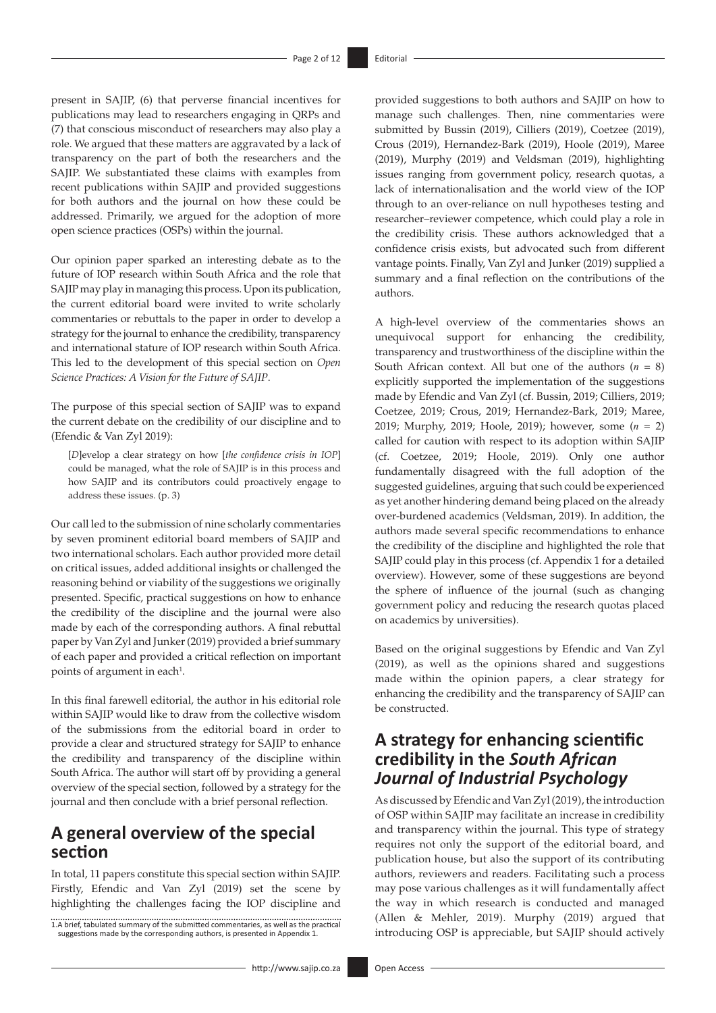present in SAJIP, (6) that perverse financial incentives for publications may lead to researchers engaging in QRPs and (7) that conscious misconduct of researchers may also play a role. We argued that these matters are aggravated by a lack of transparency on the part of both the researchers and the SAJIP. We substantiated these claims with examples from recent publications within SAJIP and provided suggestions for both authors and the journal on how these could be addressed. Primarily, we argued for the adoption of more open science practices (OSPs) within the journal.

Our opinion paper sparked an interesting debate as to the future of IOP research within South Africa and the role that SAJIP may play in managing this process. Upon its publication, the current editorial board were invited to write scholarly commentaries or rebuttals to the paper in order to develop a strategy for the journal to enhance the credibility, transparency and international stature of IOP research within South Africa. This led to the development of this special section on *Open Science Practices: A Vision for the Future of SAJIP*.

The purpose of this special section of SAJIP was to expand the current debate on the credibility of our discipline and to (Efendic & Van Zyl 2019):

[*D*]evelop a clear strategy on how [*the confidence crisis in IOP*] could be managed, what the role of SAJIP is in this process and how SAJIP and its contributors could proactively engage to address these issues. (p. 3)

Our call led to the submission of nine scholarly commentaries by seven prominent editorial board members of SAJIP and two international scholars. Each author provided more detail on critical issues, added additional insights or challenged the reasoning behind or viability of the suggestions we originally presented. Specific, practical suggestions on how to enhance the credibility of the discipline and the journal were also made by each of the corresponding authors. A final rebuttal paper by Van Zyl and Junker (2019) provided a brief summary of each paper and provided a critical reflection on important points of argument in each<sup>1</sup>.

In this final farewell editorial, the author in his editorial role within SAJIP would like to draw from the collective wisdom of the submissions from the editorial board in order to provide a clear and structured strategy for SAJIP to enhance the credibility and transparency of the discipline within South Africa. The author will start off by providing a general overview of the special section, followed by a strategy for the journal and then conclude with a brief personal reflection.

### **A general overview of the special section**

In total, 11 papers constitute this special section within SAJIP. Firstly, Efendic and Van Zyl (2019) set the scene by highlighting the challenges facing the IOP discipline and

1.A brief, tabulated summary of the submitted commentaries, as well as the practical suggestions made by the corresponding authors, is presented in Appendix 1.

provided suggestions to both authors and SAJIP on how to manage such challenges. Then, nine commentaries were submitted by Bussin (2019), Cilliers (2019), Coetzee (2019), Crous (2019), Hernandez-Bark (2019), Hoole (2019), Maree (2019), Murphy (2019) and Veldsman (2019), highlighting issues ranging from government policy, research quotas, a lack of internationalisation and the world view of the IOP through to an over-reliance on null hypotheses testing and researcher–reviewer competence, which could play a role in the credibility crisis. These authors acknowledged that a confidence crisis exists, but advocated such from different vantage points. Finally, Van Zyl and Junker (2019) supplied a summary and a final reflection on the contributions of the authors.

A high-level overview of the commentaries shows an unequivocal support for enhancing the credibility, transparency and trustworthiness of the discipline within the South African context. All but one of the authors  $(n = 8)$ explicitly supported the implementation of the suggestions made by Efendic and Van Zyl (cf. Bussin, 2019; Cilliers, 2019; Coetzee, 2019; Crous, 2019; Hernandez-Bark, 2019; Maree, 2019; Murphy, 2019; Hoole, 2019); however, some (*n* = 2) called for caution with respect to its adoption within SAJIP (cf. Coetzee, 2019; Hoole, 2019). Only one author fundamentally disagreed with the full adoption of the suggested guidelines, arguing that such could be experienced as yet another hindering demand being placed on the already over-burdened academics (Veldsman, 2019). In addition, the authors made several specific recommendations to enhance the credibility of the discipline and highlighted the role that SAJIP could play in this process (cf. Appendix 1 for a detailed overview). However, some of these suggestions are beyond the sphere of influence of the journal (such as changing government policy and reducing the research quotas placed on academics by universities).

Based on the original suggestions by Efendic and Van Zyl (2019), as well as the opinions shared and suggestions made within the opinion papers, a clear strategy for enhancing the credibility and the transparency of SAJIP can be constructed.

### **A strategy for enhancing scientific credibility in the** *South African Journal of Industrial Psychology*

As discussed by Efendic and Van Zyl (2019), the introduction of OSP within SAJIP may facilitate an increase in credibility and transparency within the journal. This type of strategy requires not only the support of the editorial board, and publication house, but also the support of its contributing authors, reviewers and readers. Facilitating such a process may pose various challenges as it will fundamentally affect the way in which research is conducted and managed (Allen & Mehler, 2019). Murphy (2019) argued that introducing OSP is appreciable, but SAJIP should actively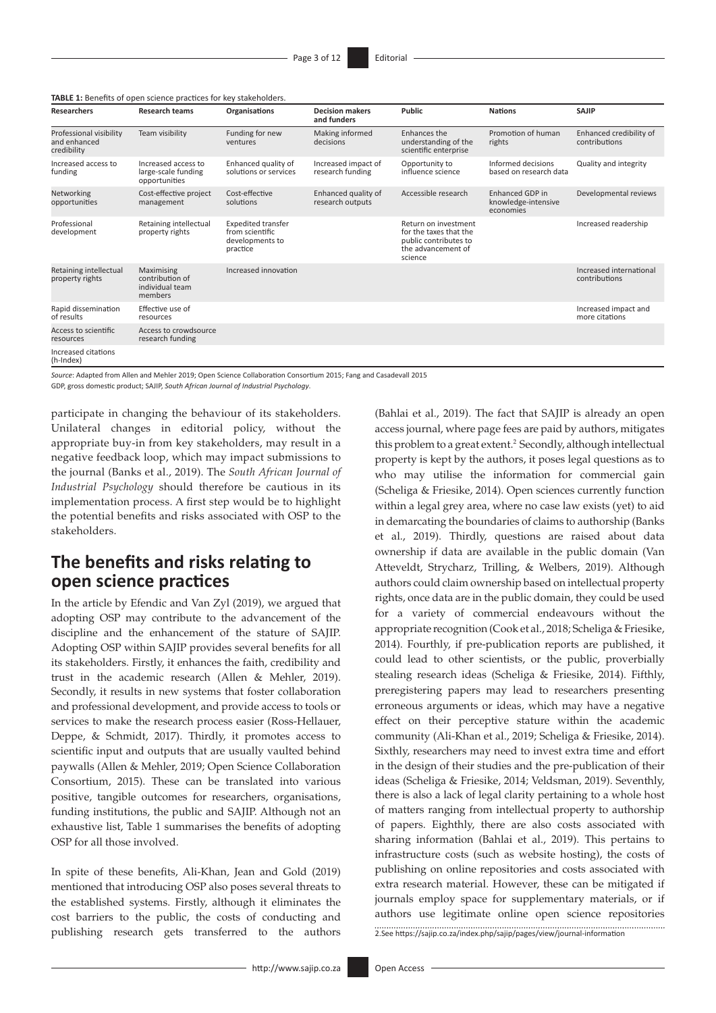| TABLE 1: Benefits of open science practices for key stakeholders. |  |
|-------------------------------------------------------------------|--|
|-------------------------------------------------------------------|--|

| Researchers                                            | <b>Research teams</b>                                       | <b>Organisations</b>                                                        | <b>Decision makers</b><br>and funders   | Public                                                                                                   | <b>Nations</b>                                             | <b>SAJIP</b>                             |
|--------------------------------------------------------|-------------------------------------------------------------|-----------------------------------------------------------------------------|-----------------------------------------|----------------------------------------------------------------------------------------------------------|------------------------------------------------------------|------------------------------------------|
| Professional visibility<br>and enhanced<br>credibility | Team visibility                                             | Funding for new<br>ventures                                                 | Making informed<br>decisions            | Enhances the<br>understanding of the<br>scientific enterprise                                            | Promotion of human<br>rights                               | Enhanced credibility of<br>contributions |
| Increased access to<br>funding                         | Increased access to<br>large-scale funding<br>opportunities | Enhanced quality of<br>solutions or services                                | Increased impact of<br>research funding | Opportunity to<br>influence science                                                                      | Informed decisions<br>based on research data               | Quality and integrity                    |
| Networking<br>opportunities                            | Cost-effective project<br>management                        | Cost-effective<br>solutions                                                 | Enhanced quality of<br>research outputs | Accessible research                                                                                      | <b>Enhanced GDP in</b><br>knowledge-intensive<br>economies | Developmental reviews                    |
| Professional<br>development                            | Retaining intellectual<br>property rights                   | <b>Expedited transfer</b><br>from scientific<br>developments to<br>practice |                                         | Return on investment<br>for the taxes that the<br>public contributes to<br>the advancement of<br>science |                                                            | Increased readership                     |
| Retaining intellectual<br>property rights              | Maximising<br>contribution of<br>individual team<br>members | Increased innovation                                                        |                                         |                                                                                                          |                                                            | Increased international<br>contributions |
| Rapid dissemination<br>of results                      | Effective use of<br>resources                               |                                                                             |                                         |                                                                                                          |                                                            | Increased impact and<br>more citations   |
| Access to scientific<br>resources                      | Access to crowdsource<br>research funding                   |                                                                             |                                         |                                                                                                          |                                                            |                                          |
| Increased citations<br>(h-Index)                       |                                                             |                                                                             |                                         |                                                                                                          |                                                            |                                          |

*Source*: Adapted from Allen and Mehler 2019; Open Science Collaboration Consortium 2015; Fang and Casadevall 2015

GDP, gross domestic product; SAJIP, *South African Journal of Industrial Psychology*.

participate in changing the behaviour of its stakeholders. Unilateral changes in editorial policy, without the appropriate buy-in from key stakeholders, may result in a negative feedback loop, which may impact submissions to the journal (Banks et al., 2019). The *South African Journal of Industrial Psychology* should therefore be cautious in its implementation process. A first step would be to highlight the potential benefits and risks associated with OSP to the stakeholders.

### **The benefits and risks relating to open science practices**

In the article by Efendic and Van Zyl (2019), we argued that adopting OSP may contribute to the advancement of the discipline and the enhancement of the stature of SAJIP. Adopting OSP within SAJIP provides several benefits for all its stakeholders. Firstly, it enhances the faith, credibility and trust in the academic research (Allen & Mehler, 2019). Secondly, it results in new systems that foster collaboration and professional development, and provide access to tools or services to make the research process easier (Ross-Hellauer, Deppe, & Schmidt, 2017). Thirdly, it promotes access to scientific input and outputs that are usually vaulted behind paywalls (Allen & Mehler, 2019; Open Science Collaboration Consortium, 2015). These can be translated into various positive, tangible outcomes for researchers, organisations, funding institutions, the public and SAJIP. Although not an exhaustive list, Table 1 summarises the benefits of adopting OSP for all those involved.

In spite of these benefits, Ali-Khan, Jean and Gold (2019) mentioned that introducing OSP also poses several threats to the established systems. Firstly, although it eliminates the cost barriers to the public, the costs of conducting and publishing research gets transferred to the authors (Bahlai et al., 2019). The fact that SAJIP is already an open access journal, where page fees are paid by authors, mitigates this problem to a great extent.<sup>2</sup> Secondly, although intellectual property is kept by the authors, it poses legal questions as to who may utilise the information for commercial gain (Scheliga & Friesike, 2014). Open sciences currently function within a legal grey area, where no case law exists (yet) to aid in demarcating the boundaries of claims to authorship (Banks et al., 2019). Thirdly, questions are raised about data ownership if data are available in the public domain (Van Atteveldt, Strycharz, Trilling, & Welbers, 2019). Although authors could claim ownership based on intellectual property rights, once data are in the public domain, they could be used for a variety of commercial endeavours without the appropriate recognition (Cook et al., 2018; Scheliga & Friesike, 2014). Fourthly, if pre-publication reports are published, it could lead to other scientists, or the public, proverbially stealing research ideas (Scheliga & Friesike, 2014). Fifthly, preregistering papers may lead to researchers presenting erroneous arguments or ideas, which may have a negative effect on their perceptive stature within the academic community (Ali-Khan et al., 2019; Scheliga & Friesike, 2014). Sixthly, researchers may need to invest extra time and effort in the design of their studies and the pre-publication of their ideas (Scheliga & Friesike, 2014; Veldsman, 2019). Seventhly, there is also a lack of legal clarity pertaining to a whole host of matters ranging from intellectual property to authorship of papers. Eighthly, there are also costs associated with sharing information (Bahlai et al., 2019). This pertains to infrastructure costs (such as website hosting), the costs of publishing on online repositories and costs associated with extra research material. However, these can be mitigated if journals employ space for supplementary materials, or if authors use legitimate online open science repositories 2.See <https://sajip.co.za/index.php/sajip/pages/view/journal-information>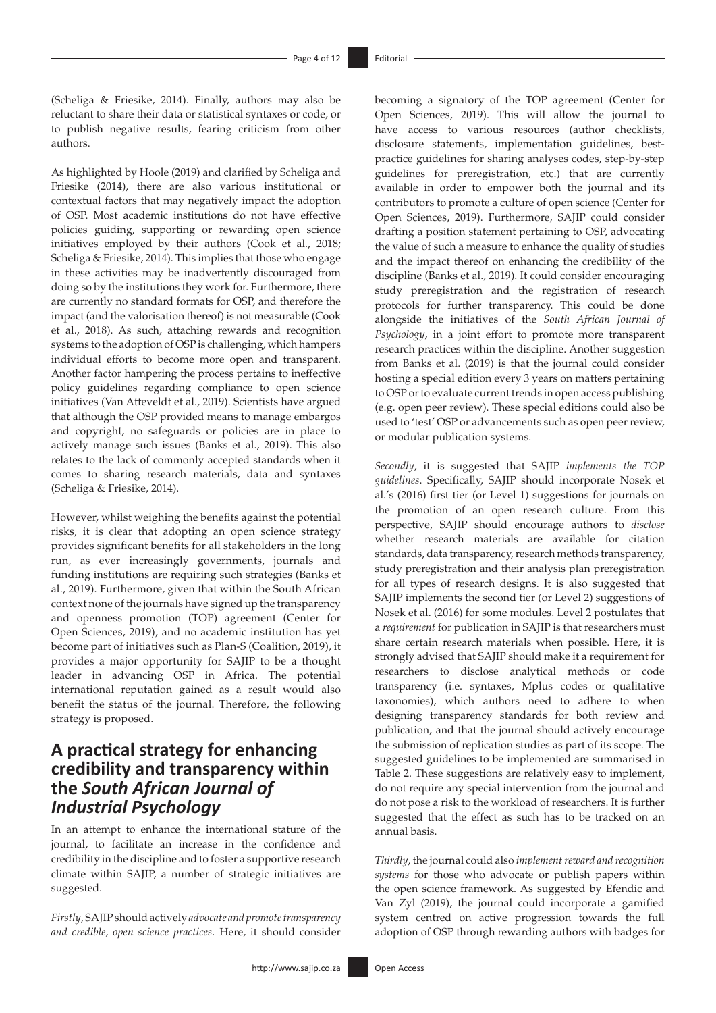(Scheliga & Friesike, 2014). Finally, authors may also be reluctant to share their data or statistical syntaxes or code, or to publish negative results, fearing criticism from other authors.

As highlighted by Hoole (2019) and clarified by Scheliga and Friesike (2014), there are also various institutional or contextual factors that may negatively impact the adoption of OSP. Most academic institutions do not have effective policies guiding, supporting or rewarding open science initiatives employed by their authors (Cook et al., 2018; Scheliga & Friesike, 2014). This implies that those who engage in these activities may be inadvertently discouraged from doing so by the institutions they work for. Furthermore, there are currently no standard formats for OSP, and therefore the impact (and the valorisation thereof) is not measurable (Cook et al., 2018). As such, attaching rewards and recognition systems to the adoption of OSP is challenging, which hampers individual efforts to become more open and transparent. Another factor hampering the process pertains to ineffective policy guidelines regarding compliance to open science initiatives (Van Atteveldt et al., 2019). Scientists have argued that although the OSP provided means to manage embargos and copyright, no safeguards or policies are in place to actively manage such issues (Banks et al., 2019). This also relates to the lack of commonly accepted standards when it comes to sharing research materials, data and syntaxes (Scheliga & Friesike, 2014).

However, whilst weighing the benefits against the potential risks, it is clear that adopting an open science strategy provides significant benefits for all stakeholders in the long run, as ever increasingly governments, journals and funding institutions are requiring such strategies (Banks et al., 2019). Furthermore, given that within the South African context none of the journals have signed up the transparency and openness promotion (TOP) agreement (Center for Open Sciences, 2019), and no academic institution has yet become part of initiatives such as Plan-S (Coalition, 2019), it provides a major opportunity for SAJIP to be a thought leader in advancing OSP in Africa. The potential international reputation gained as a result would also benefit the status of the journal. Therefore, the following strategy is proposed.

### **A practical strategy for enhancing credibility and transparency within the** *South African Journal of Industrial Psychology*

In an attempt to enhance the international stature of the journal, to facilitate an increase in the confidence and credibility in the discipline and to foster a supportive research climate within SAJIP, a number of strategic initiatives are suggested.

*Firstly*, SAJIP should actively *advocate and promote transparency and credible, open science practices.* Here, it should consider becoming a signatory of the TOP agreement (Center for Open Sciences, 2019). This will allow the journal to have access to various resources (author checklists, disclosure statements, implementation guidelines, bestpractice guidelines for sharing analyses codes, step-by-step guidelines for preregistration, etc.) that are currently available in order to empower both the journal and its contributors to promote a culture of open science (Center for Open Sciences, 2019). Furthermore, SAJIP could consider drafting a position statement pertaining to OSP, advocating the value of such a measure to enhance the quality of studies and the impact thereof on enhancing the credibility of the discipline (Banks et al., 2019). It could consider encouraging study preregistration and the registration of research protocols for further transparency. This could be done alongside the initiatives of the *South African Journal of Psychology*, in a joint effort to promote more transparent research practices within the discipline. Another suggestion from Banks et al. (2019) is that the journal could consider hosting a special edition every 3 years on matters pertaining to OSP or to evaluate current trends in open access publishing (e.g. open peer review). These special editions could also be used to 'test' OSP or advancements such as open peer review, or modular publication systems.

*Secondly*, it is suggested that SAJIP *implements the TOP guidelines*. Specifically, SAJIP should incorporate Nosek et al.'s (2016) first tier (or Level 1) suggestions for journals on the promotion of an open research culture. From this perspective, SAJIP should encourage authors to *disclose*  whether research materials are available for citation standards, data transparency, research methods transparency, study preregistration and their analysis plan preregistration for all types of research designs. It is also suggested that SAJIP implements the second tier (or Level 2) suggestions of Nosek et al. (2016) for some modules. Level 2 postulates that a *requirement* for publication in SAJIP is that researchers must share certain research materials when possible. Here, it is strongly advised that SAJIP should make it a requirement for researchers to disclose analytical methods or code transparency (i.e. syntaxes, Mplus codes or qualitative taxonomies), which authors need to adhere to when designing transparency standards for both review and publication, and that the journal should actively encourage the submission of replication studies as part of its scope. The suggested guidelines to be implemented are summarised in Table 2. These suggestions are relatively easy to implement, do not require any special intervention from the journal and do not pose a risk to the workload of researchers. It is further suggested that the effect as such has to be tracked on an annual basis.

*Thirdly*, the journal could also *implement reward and recognition systems* for those who advocate or publish papers within the open science framework. As suggested by Efendic and Van Zyl (2019), the journal could incorporate a gamified system centred on active progression towards the full adoption of OSP through rewarding authors with badges for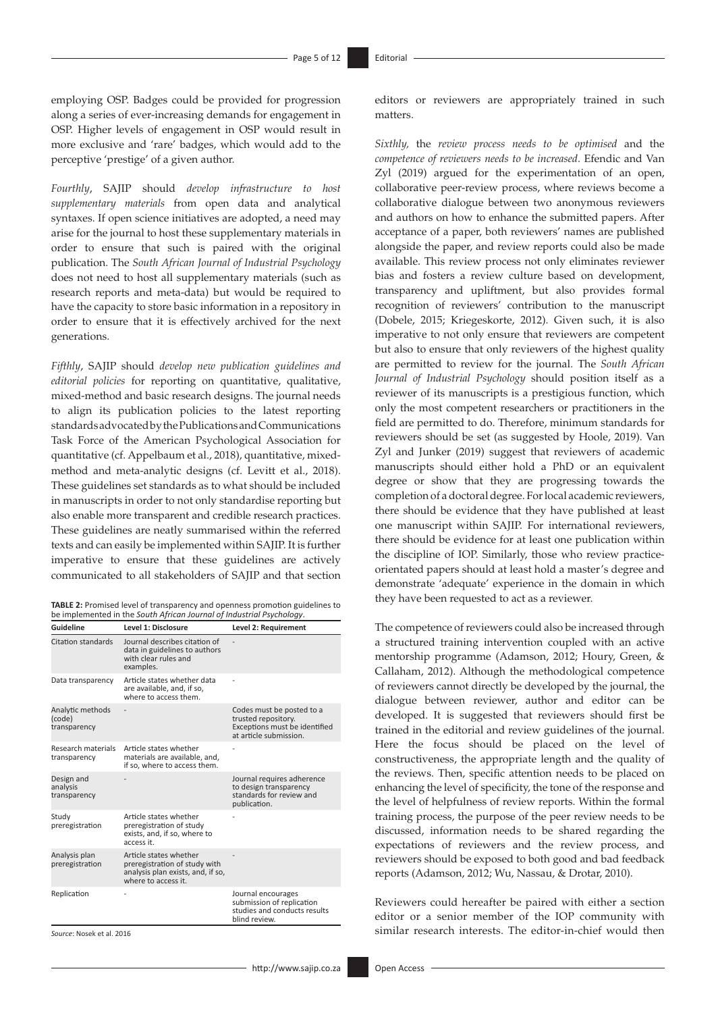employing OSP. Badges could be provided for progression along a series of ever-increasing demands for engagement in OSP. Higher levels of engagement in OSP would result in more exclusive and 'rare' badges, which would add to the perceptive 'prestige' of a given author.

*Fourthly*, SAJIP should *develop infrastructure to host supplementary materials* from open data and analytical syntaxes. If open science initiatives are adopted, a need may arise for the journal to host these supplementary materials in order to ensure that such is paired with the original publication. The *South African Journal of Industrial Psychology* does not need to host all supplementary materials (such as research reports and meta-data) but would be required to have the capacity to store basic information in a repository in order to ensure that it is effectively archived for the next generations.

*Fifthly*, SAJIP should *develop new publication guidelines and editorial policies* for reporting on quantitative, qualitative, mixed-method and basic research designs. The journal needs to align its publication policies to the latest reporting standards advocated by the Publications and Communications Task Force of the American Psychological Association for quantitative (cf*.* Appelbaum et al., 2018), quantitative, mixedmethod and meta-analytic designs (cf. Levitt et al., 2018). These guidelines set standards as to what should be included in manuscripts in order to not only standardise reporting but also enable more transparent and credible research practices. These guidelines are neatly summarised within the referred texts and can easily be implemented within SAJIP. It is further imperative to ensure that these guidelines are actively communicated to all stakeholders of SAJIP and that section

| <b>TABLE 2:</b> Promised level of transparency and openness promotion guidelines to |
|-------------------------------------------------------------------------------------|
| be implemented in the South African Journal of Industrial Psychology.               |

| Guideline                                  | Level 1: Disclosure                                                                                                 | Level 2: Requirement                                                                                        |
|--------------------------------------------|---------------------------------------------------------------------------------------------------------------------|-------------------------------------------------------------------------------------------------------------|
| Citation standards                         | Journal describes citation of<br>data in guidelines to authors<br>with clear rules and<br>examples.                 |                                                                                                             |
| Data transparency                          | Article states whether data<br>are available, and, if so,<br>where to access them.                                  |                                                                                                             |
| Analytic methods<br>(code)<br>transparency |                                                                                                                     | Codes must be posted to a<br>trusted repository.<br>Exceptions must be identified<br>at article submission. |
| Research materials<br>transparency         | Article states whether<br>materials are available, and,<br>if so, where to access them.                             |                                                                                                             |
| Design and<br>analysis<br>transparency     |                                                                                                                     | Journal requires adherence<br>to design transparency<br>standards for review and<br>publication.            |
| Study<br>preregistration                   | Article states whether<br>preregistration of study<br>exists, and, if so, where to<br>access it.                    |                                                                                                             |
| Analysis plan<br>preregistration           | Article states whether<br>preregistration of study with<br>analysis plan exists, and, if so,<br>where to access it. |                                                                                                             |
| Replication                                |                                                                                                                     | Journal encourages<br>submission of replication<br>studies and conducts results<br>blind review.            |

*Source*: Nosek et al. 2016

editors or reviewers are appropriately trained in such matters.

*Sixthly,* the *review process needs to be optimised* and the *competence of reviewers needs to be increased*. Efendic and Van Zyl (2019) argued for the experimentation of an open, collaborative peer-review process, where reviews become a collaborative dialogue between two anonymous reviewers and authors on how to enhance the submitted papers. After acceptance of a paper, both reviewers' names are published alongside the paper, and review reports could also be made available. This review process not only eliminates reviewer bias and fosters a review culture based on development, transparency and upliftment, but also provides formal recognition of reviewers' contribution to the manuscript (Dobele, 2015; Kriegeskorte, 2012). Given such, it is also imperative to not only ensure that reviewers are competent but also to ensure that only reviewers of the highest quality are permitted to review for the journal. The *South African Journal of Industrial Psychology* should position itself as a reviewer of its manuscripts is a prestigious function, which only the most competent researchers or practitioners in the field are permitted to do. Therefore, minimum standards for reviewers should be set (as suggested by Hoole, 2019). Van Zyl and Junker (2019) suggest that reviewers of academic manuscripts should either hold a PhD or an equivalent degree or show that they are progressing towards the completion of a doctoral degree. For local academic reviewers, there should be evidence that they have published at least one manuscript within SAJIP. For international reviewers, there should be evidence for at least one publication within the discipline of IOP. Similarly, those who review practiceorientated papers should at least hold a master's degree and demonstrate 'adequate' experience in the domain in which they have been requested to act as a reviewer.

The competence of reviewers could also be increased through a structured training intervention coupled with an active mentorship programme (Adamson, 2012; Houry, Green, & Callaham, 2012). Although the methodological competence of reviewers cannot directly be developed by the journal, the dialogue between reviewer, author and editor can be developed. It is suggested that reviewers should first be trained in the editorial and review guidelines of the journal. Here the focus should be placed on the level of constructiveness, the appropriate length and the quality of the reviews. Then, specific attention needs to be placed on enhancing the level of specificity, the tone of the response and the level of helpfulness of review reports. Within the formal training process, the purpose of the peer review needs to be discussed, information needs to be shared regarding the expectations of reviewers and the review process, and reviewers should be exposed to both good and bad feedback reports (Adamson, 2012; Wu, Nassau, & Drotar, 2010).

Reviewers could hereafter be paired with either a section editor or a senior member of the IOP community with similar research interests. The editor-in-chief would then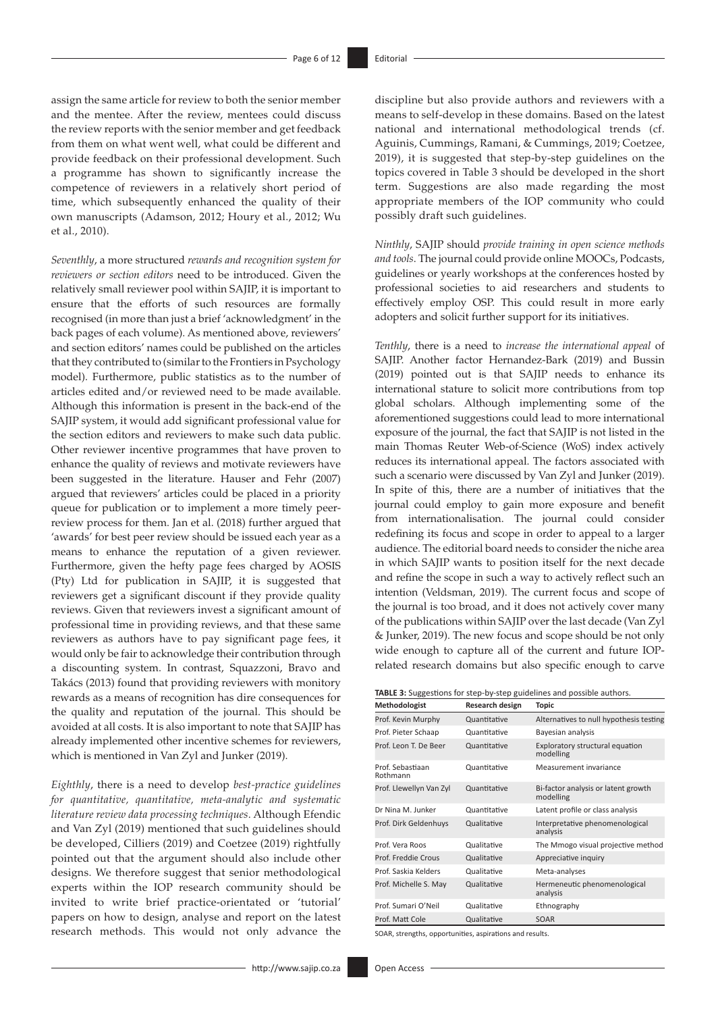assign the same article for review to both the senior member and the mentee. After the review, mentees could discuss the review reports with the senior member and get feedback from them on what went well, what could be different and provide feedback on their professional development. Such a programme has shown to significantly increase the competence of reviewers in a relatively short period of time, which subsequently enhanced the quality of their own manuscripts (Adamson, 2012; Houry et al., 2012; Wu et al., 2010).

*Seventhly*, a more structured *rewards and recognition system for reviewers or section editors* need to be introduced. Given the relatively small reviewer pool within SAJIP, it is important to ensure that the efforts of such resources are formally recognised (in more than just a brief 'acknowledgment' in the back pages of each volume). As mentioned above, reviewers' and section editors' names could be published on the articles that they contributed to (similar to the Frontiers in Psychology model). Furthermore, public statistics as to the number of articles edited and/or reviewed need to be made available. Although this information is present in the back-end of the SAJIP system, it would add significant professional value for the section editors and reviewers to make such data public. Other reviewer incentive programmes that have proven to enhance the quality of reviews and motivate reviewers have been suggested in the literature. Hauser and Fehr (2007) argued that reviewers' articles could be placed in a priority queue for publication or to implement a more timely peerreview process for them. Jan et al. (2018) further argued that 'awards' for best peer review should be issued each year as a means to enhance the reputation of a given reviewer. Furthermore, given the hefty page fees charged by AOSIS (Pty) Ltd for publication in SAJIP, it is suggested that reviewers get a significant discount if they provide quality reviews. Given that reviewers invest a significant amount of professional time in providing reviews, and that these same reviewers as authors have to pay significant page fees, it would only be fair to acknowledge their contribution through a discounting system. In contrast, Squazzoni, Bravo and Takács (2013) found that providing reviewers with monitory rewards as a means of recognition has dire consequences for the quality and reputation of the journal. This should be avoided at all costs. It is also important to note that SAJIP has already implemented other incentive schemes for reviewers, which is mentioned in Van Zyl and Junker (2019).

*Eighthly*, there is a need to develop *best-practice guidelines for quantitative, quantitative, meta-analytic and systematic literature review data processing techniques*. Although Efendic and Van Zyl (2019) mentioned that such guidelines should be developed, Cilliers (2019) and Coetzee (2019) rightfully pointed out that the argument should also include other designs. We therefore suggest that senior methodological experts within the IOP research community should be invited to write brief practice-orientated or 'tutorial' papers on how to design, analyse and report on the latest research methods. This would not only advance the discipline but also provide authors and reviewers with a means to self-develop in these domains. Based on the latest national and international methodological trends (cf. Aguinis, Cummings, Ramani, & Cummings, 2019; Coetzee, 2019), it is suggested that step-by-step guidelines on the topics covered in Table 3 should be developed in the short term. Suggestions are also made regarding the most appropriate members of the IOP community who could possibly draft such guidelines.

*Ninthly*, SAJIP should *provide training in open science methods and tools*. The journal could provide online MOOCs, Podcasts, guidelines or yearly workshops at the conferences hosted by professional societies to aid researchers and students to effectively employ OSP. This could result in more early adopters and solicit further support for its initiatives.

*Tenthly*, there is a need to *increase the international appeal* of SAJIP. Another factor Hernandez-Bark (2019) and Bussin (2019) pointed out is that SAJIP needs to enhance its international stature to solicit more contributions from top global scholars. Although implementing some of the aforementioned suggestions could lead to more international exposure of the journal, the fact that SAJIP is not listed in the main Thomas Reuter Web-of-Science (WoS) index actively reduces its international appeal. The factors associated with such a scenario were discussed by Van Zyl and Junker (2019). In spite of this, there are a number of initiatives that the journal could employ to gain more exposure and benefit from internationalisation. The journal could consider redefining its focus and scope in order to appeal to a larger audience. The editorial board needs to consider the niche area in which SAJIP wants to position itself for the next decade and refine the scope in such a way to actively reflect such an intention (Veldsman, 2019). The current focus and scope of the journal is too broad, and it does not actively cover many of the publications within SAJIP over the last decade (Van Zyl & Junker, 2019). The new focus and scope should be not only wide enough to capture all of the current and future IOPrelated research domains but also specific enough to carve

| TABLE 3: Suggestions for step-by-step guidelines and possible authors. |  |  |  |
|------------------------------------------------------------------------|--|--|--|
|------------------------------------------------------------------------|--|--|--|

| Research design | <b>Topic</b>                                     |
|-----------------|--------------------------------------------------|
| Quantitative    | Alternatives to null hypothesis testing          |
| Quantitative    | Bayesian analysis                                |
| Quantitative    | Exploratory structural equation<br>modelling     |
| Quantitative    | Measurement invariance                           |
| Quantitative    | Bi-factor analysis or latent growth<br>modelling |
| Quantitative    | Latent profile or class analysis                 |
| Qualitative     | Interpretative phenomenological<br>analysis      |
| Qualitative     | The Mmogo visual projective method               |
| Qualitative     | Appreciative inquiry                             |
| Qualitative     | Meta-analyses                                    |
| Qualitative     | Hermeneutic phenomenological<br>analysis         |
| Qualitative     | Ethnography                                      |
| Qualitative     | SOAR                                             |
|                 |                                                  |

SOAR, strengths, opportunities, aspirations and results.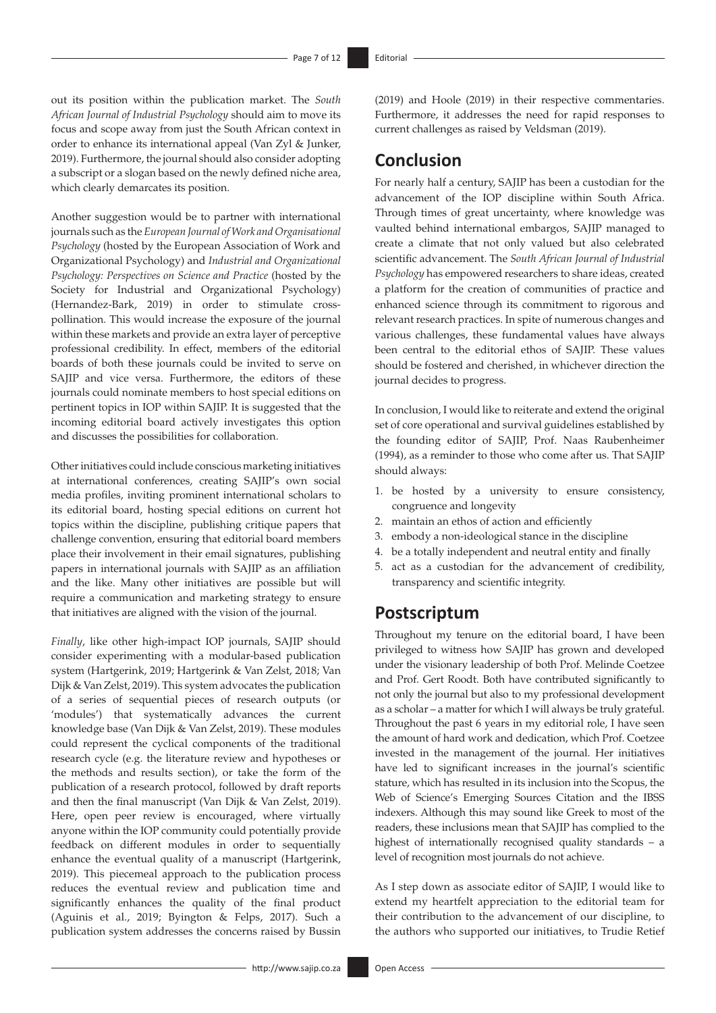out its position within the publication market. The *South African Journal of Industrial Psychology* should aim to move its focus and scope away from just the South African context in order to enhance its international appeal (Van Zyl & Junker, 2019). Furthermore, the journal should also consider adopting a subscript or a slogan based on the newly defined niche area, which clearly demarcates its position.

Another suggestion would be to partner with international journals such as the *European Journal of Work and Organisational Psychology* (hosted by the European Association of Work and Organizational Psychology) and *Industrial and Organizational Psychology: Perspectives on Science and Practice* (hosted by the Society for Industrial and Organizational Psychology) (Hernandez-Bark, 2019) in order to stimulate crosspollination. This would increase the exposure of the journal within these markets and provide an extra layer of perceptive professional credibility. In effect, members of the editorial boards of both these journals could be invited to serve on SAJIP and vice versa. Furthermore, the editors of these journals could nominate members to host special editions on pertinent topics in IOP within SAJIP. It is suggested that the incoming editorial board actively investigates this option and discusses the possibilities for collaboration.

Other initiatives could include conscious marketing initiatives at international conferences, creating SAJIP's own social media profiles, inviting prominent international scholars to its editorial board, hosting special editions on current hot topics within the discipline, publishing critique papers that challenge convention, ensuring that editorial board members place their involvement in their email signatures, publishing papers in international journals with SAJIP as an affiliation and the like. Many other initiatives are possible but will require a communication and marketing strategy to ensure that initiatives are aligned with the vision of the journal.

*Finally*, like other high-impact IOP journals, SAJIP should consider experimenting with a modular-based publication system (Hartgerink, 2019; Hartgerink & Van Zelst, 2018; Van Dijk & Van Zelst, 2019). This system advocates the publication of a series of sequential pieces of research outputs (or 'modules') that systematically advances the current knowledge base (Van Dijk & Van Zelst, 2019). These modules could represent the cyclical components of the traditional research cycle (e.g. the literature review and hypotheses or the methods and results section), or take the form of the publication of a research protocol, followed by draft reports and then the final manuscript (Van Dijk & Van Zelst, 2019). Here, open peer review is encouraged, where virtually anyone within the IOP community could potentially provide feedback on different modules in order to sequentially enhance the eventual quality of a manuscript (Hartgerink, 2019). This piecemeal approach to the publication process reduces the eventual review and publication time and significantly enhances the quality of the final product (Aguinis et al., 2019; Byington & Felps, 2017). Such a publication system addresses the concerns raised by Bussin

(2019) and Hoole (2019) in their respective commentaries. Furthermore, it addresses the need for rapid responses to current challenges as raised by Veldsman (2019).

### **Conclusion**

For nearly half a century, SAJIP has been a custodian for the advancement of the IOP discipline within South Africa. Through times of great uncertainty, where knowledge was vaulted behind international embargos, SAJIP managed to create a climate that not only valued but also celebrated scientific advancement. The *South African Journal of Industrial Psychology* has empowered researchers to share ideas, created a platform for the creation of communities of practice and enhanced science through its commitment to rigorous and relevant research practices. In spite of numerous changes and various challenges, these fundamental values have always been central to the editorial ethos of SAJIP. These values should be fostered and cherished, in whichever direction the journal decides to progress.

In conclusion, I would like to reiterate and extend the original set of core operational and survival guidelines established by the founding editor of SAJIP, Prof. Naas Raubenheimer (1994), as a reminder to those who come after us. That SAJIP should always:

- 1. be hosted by a university to ensure consistency, congruence and longevity
- 2. maintain an ethos of action and efficiently
- 3. embody a non-ideological stance in the discipline
- 4. be a totally independent and neutral entity and finally
- 5. act as a custodian for the advancement of credibility, transparency and scientific integrity.

### **Postscriptum**

Throughout my tenure on the editorial board, I have been privileged to witness how SAJIP has grown and developed under the visionary leadership of both Prof. Melinde Coetzee and Prof. Gert Roodt. Both have contributed significantly to not only the journal but also to my professional development as a scholar – a matter for which I will always be truly grateful. Throughout the past 6 years in my editorial role, I have seen the amount of hard work and dedication, which Prof. Coetzee invested in the management of the journal. Her initiatives have led to significant increases in the journal's scientific stature, which has resulted in its inclusion into the Scopus, the Web of Science's Emerging Sources Citation and the IBSS indexers. Although this may sound like Greek to most of the readers, these inclusions mean that SAJIP has complied to the highest of internationally recognised quality standards – a level of recognition most journals do not achieve.

As I step down as associate editor of SAJIP, I would like to extend my heartfelt appreciation to the editorial team for their contribution to the advancement of our discipline, to the authors who supported our initiatives, to Trudie Retief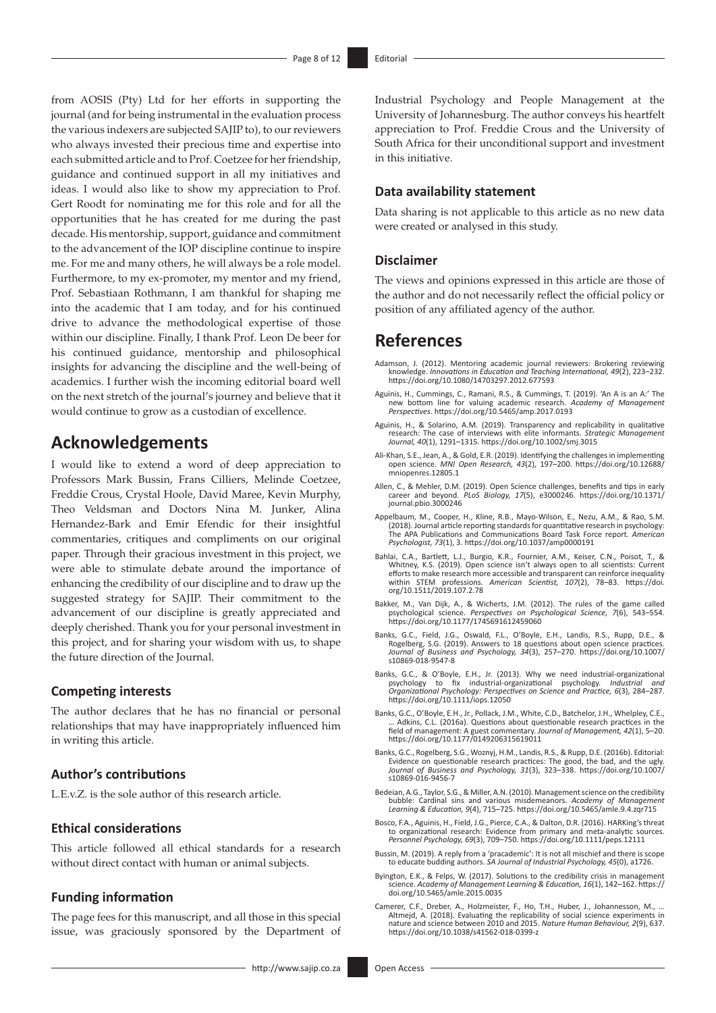from AOSIS (Pty) Ltd for her efforts in supporting the journal (and for being instrumental in the evaluation process the various indexers are subjected SAJIP to), to our reviewers who always invested their precious time and expertise into each submitted article and to Prof. Coetzee for her friendship, guidance and continued support in all my initiatives and ideas. I would also like to show my appreciation to Prof. Gert Roodt for nominating me for this role and for all the opportunities that he has created for me during the past decade. His mentorship, support, guidance and commitment to the advancement of the IOP discipline continue to inspire me. For me and many others, he will always be a role model. Furthermore, to my ex-promoter, my mentor and my friend, Prof. Sebastiaan Rothmann, I am thankful for shaping me into the academic that I am today, and for his continued drive to advance the methodological expertise of those within our discipline. Finally, I thank Prof. Leon De beer for his continued guidance, mentorship and philosophical insights for advancing the discipline and the well-being of academics. I further wish the incoming editorial board well on the next stretch of the journal's journey and believe that it would continue to grow as a custodian of excellence.

### **Acknowledgements**

I would like to extend a word of deep appreciation to Professors Mark Bussin, Frans Cilliers, Melinde Coetzee, Freddie Crous, Crystal Hoole, David Maree, Kevin Murphy, Theo Veldsman and Doctors Nina M. Junker, Alina Hernandez-Bark and Emir Efendic for their insightful commentaries, critiques and compliments on our original paper. Through their gracious investment in this project, we were able to stimulate debate around the importance of enhancing the credibility of our discipline and to draw up the suggested strategy for SAJIP. Their commitment to the advancement of our discipline is greatly appreciated and deeply cherished. Thank you for your personal investment in this project, and for sharing your wisdom with us, to shape the future direction of the Journal.

#### **Competing interests**

The author declares that he has no financial or personal relationships that may have inappropriately influenced him in writing this article.

#### **Author's contributions**

L.E.v.Z. is the sole author of this research article.

#### **Ethical considerations**

This article followed all ethical standards for a research without direct contact with human or animal subjects.

#### **Funding information**

The page fees for this manuscript, and all those in this special issue, was graciously sponsored by the Department of Industrial Psychology and People Management at the University of Johannesburg. The author conveys his heartfelt appreciation to Prof. Freddie Crous and the University of South Africa for their unconditional support and investment in this initiative.

### **Data availability statement**

Data sharing is not applicable to this article as no new data were created or analysed in this study.

#### **Disclaimer**

The views and opinions expressed in this article are those of the author and do not necessarily reflect the official policy or position of any affiliated agency of the author.

### **References**

- Adamson, J. (2012). Mentoring academic journal reviewers: Brokering reviewing knowledge. *Innovations in Education and Teaching International, 49*(2), 223–232. <https://doi.org/10.1080/14703297.2012.677593>
- Aguinis, H., Cummings, C., Ramani, R.S., & Cummings, T. (2019). 'An A is an A:' The new bottom line for valuing academic research. *Academy of Management Perspectives*.<https://doi.org/10.5465/amp.2017.0193>
- Aguinis, H., & Solarino, A.M. (2019). Transparency and replicability in qualitative research: The case of interviews with elite informants. *Strategic Management Journal, 40*(1), 1291–1315. <https://doi.org/10.1002/smj.3015>
- Ali-Khan, S.E., Jean, A., & Gold, E.R. (2019). Identifying the challenges in implementing open science. *MNI Open Research, 43*(2), 197–200. [https://doi.org/10.12688/](https://doi.org/10.12688/mniopenres.12805.1) [mniopenres.12805.1](https://doi.org/10.12688/mniopenres.12805.1)
- Allen, C., & Mehler, D.M. (2019). Open Science challenges, benefits and tips in early career and beyond. *PLoS Biology, 17*(5), e3000246. [https://doi.org/10.1371/](https://doi.org/10.1371/journal.pbio.3000246) [journal.pbio.3000246](https://doi.org/10.1371/journal.pbio.3000246)
- Appelbaum, M., Cooper, H., Kline, R.B., Mayo-Wilson, E., Nezu, A.M., & Rao, S.M. (2018). Journal article reporting standards for quantitative research in psychology: The APA Publications and Communications Board Task Force report. *American Psychologist, 73*(1), 3.<https://doi.org/10.1037/amp0000191>
- Bahlai, C.A., Bartlett, L.J., Burgio, K.R., Fournier, A.M., Keiser, C.N., Poisot, T., & Whitney, K.S. (2019). Open science isn't always open to all scientists: Current efforts to make research more accessible and transparent can reinforce inequality within STEM professions. *American Scientist, 107*(2), 78–83. [https://doi.](https://doi.org/10.1511/2019.107.2.78) [org/10.1511/2019.107.2.78](https://doi.org/10.1511/2019.107.2.78)
- Bakker, M., Van Dijk, A., & Wicherts, J.M. (2012). The rules of the game called psychological science. *Perspectives on Psychological Science, 7*(6), 543–554. <https://doi.org/10.1177/1745691612459060>
- Banks, G.C., Field, J.G., Oswald, F.L., O'Boyle, E.H., Landis, R.S., Rupp, D.E., & Rogelberg, S.G. (2019). Answers to 18 questions about open science practices. *Journal of Business and Psychology, 34*(3), 257–270. [https://doi.org/10.1007/](https://doi.org/10.1007/s10869-018-9547-8) [s10869-018-9547-8](https://doi.org/10.1007/s10869-018-9547-8)
- Banks, G.C., & O'Boyle, E.H., Jr. (2013). Why we need industrial-organizational psychology to fix industrial-organizational psychology. *Industrial and Organizational Psychology: Perspectives on Science and Practice, 6*(3), 284–287. <https://doi.org/10.1111/iops.12050>
- Banks, G.C., O'Boyle, E.H., Jr., Pollack, J.M., White, C.D., Batchelor, J.H., Whelpley, C.E., … Adkins, C.L. (2016a). Questions about questionable research practices in the field of management: A guest commentary. *Journal of Management, 42*(1), 5–20. <https://doi.org/10.1177/0149206315619011>
- Banks, G.C., Rogelberg, S.G., Woznyj, H.M., Landis, R.S., & Rupp, D.E. (2016b). Editorial: Evidence on questionable research practices: The good, the bad, and the ugl *Journal of Business and Psychology, 31*(3), 323–338. [https://doi.org/10.1007/](https://doi.org/10.1007/s10869-016-9456-7) [s10869-016-9456-7](https://doi.org/10.1007/s10869-016-9456-7)
- Bedeian, A.G., Taylor, S.G., & Miller, A.N. (2010). Management science on the credibility bubble: Cardinal sins and various misdemeanors. *Academy of Management Learning & Education, 9*(4), 715–725. <https://doi.org/10.5465/amle.9.4.zqr715>
- Bosco, F.A., Aguinis, H., Field, J.G., Pierce, C.A., & Dalton, D.R. (2016). HARKing's threat to organizational research: Evidence from primary and meta-analytic sources. *Personnel Psychology, 69*(3), 709–750.<https://doi.org/10.1111/peps.12111>
- Bussin, M. (2019). A reply from a 'pracademic': It is not all mischief and there is scope to educate budding authors. *SA Journal of Industrial Psychology, 45*(0), a1726.
- Byington, E.K., & Felps, W. (2017). Solutions to the credibility crisis in management science. *Academy of Management Learning & Education, 16*(1), 142–162. [https://](https://doi.org/10.5465/amle.2015.0035) [doi.org/10.5465/amle.2015.0035](https://doi.org/10.5465/amle.2015.0035)
- Camerer, C.F., Dreber, A., Holzmeister, F., Ho, T.H., Huber, J., Johannesson, M., … Altmejd, A. (2018). Evaluating the replicability of social science experiments in nature and science between 2010 and 2015. *Nature Human Behaviour, 2*(9), 637. <https://doi.org/10.1038/s41562-018-0399-z>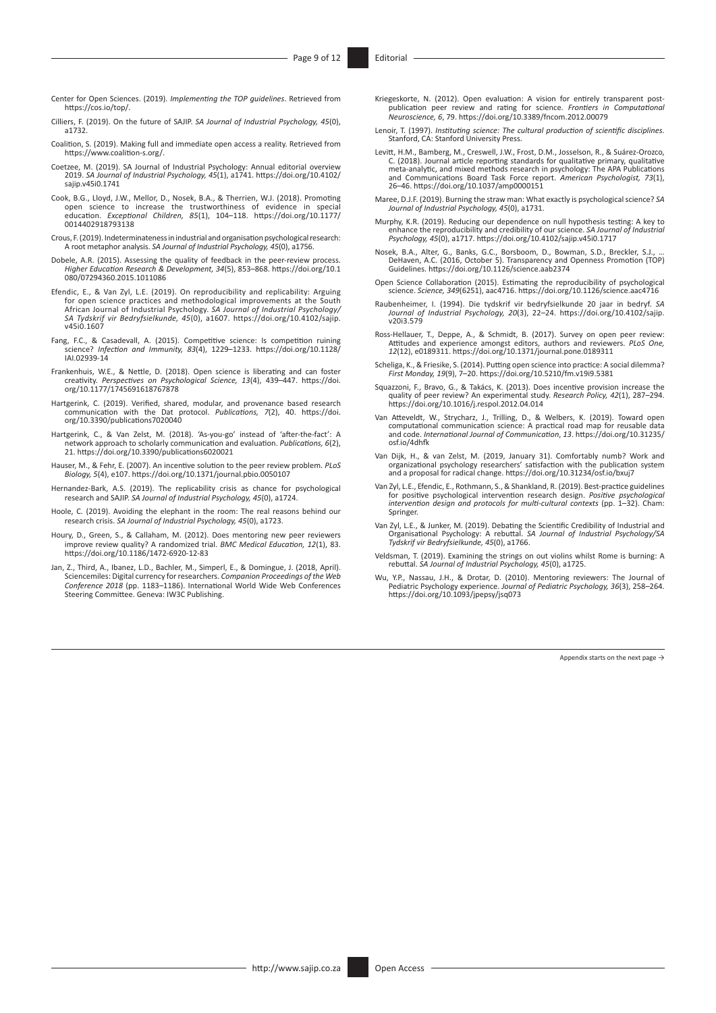- Center for Open Sciences. (2019). *Implementing the TOP guidelines*. Retrieved from [https://cos.io/top/.](https://cos.io/top/)
- Cilliers, F. (2019). On the future of SAJIP. *SA Journal of Industrial Psychology, 45*(0), a1732.
- Coalition, S. (2019). Making full and immediate open access a reality. Retrieved from <https://www.coalition-s.org/>.
- Coetzee, M. (2019). SA Journal of Industrial Psychology: Annual editorial overview 2019. *SA Journal of Industrial Psychology, 45*(1), a1741. [https://doi.org/10.4102/](https://doi.org/10.4102/sajip.v45i0.1741) [sajip.v45i0.1741](https://doi.org/10.4102/sajip.v45i0.1741)
- Cook, B.G., Lloyd, J.W., Mellor, D., Nosek, B.A., & Therrien, W.J. (2018). Promoting open science to increase the trustworthiness of evidence in special education. *Exceptional Children, 85*(1), 104–118. [https://doi.org/10.1177/](https://doi.org/10.1177/0014402918793138) [0014402918793138](https://doi.org/10.1177/0014402918793138)
- Crous, F. (2019). Indeterminateness in industrial and organisation psychological research: A root metaphor analysis. *SA Journal of Industrial Psychology, 45*(0), a1756.
- Dobele, A.R. (2015). Assessing the quality of feedback in the peer-review process. *Higher Education Research & Development, 34*(5), 853–868. [https://doi.org/10.1](https://doi.org/10.1080/07294360.2015.1011086) [080/07294360.2015.1011086](https://doi.org/10.1080/07294360.2015.1011086)
- Efendic, E., & Van Zyl, L.E. (2019). On reproducibility and replicability: Arguing for open science practices and methodological improvements at the South African Journal of Industrial Psychology. *SA Journal of Industrial Psychology/ SA Tydskrif vir Bedryfsielkunde, 45*(0), a1607. [https://doi.org/10.4102/sajip.](https://doi.org/10.4102/sajip.v45i0.1607)  $V4510.1607$
- Fang, F.C., & Casadevall, A. (2015). Competitive science: Is competition ruining science? *Infection and Immunity, 83*(4), 1229–1233. [https://doi.org/10.1128/](https://doi.org/10.1128/IAI.02939-14) [IAI.02939-14](https://doi.org/10.1128/IAI.02939-14)
- Frankenhuis, W.E., & Nettle, D. (2018). Open science is liberating and can foster creativity. *Perspectives on Psychological Science, 13*(4), 439–447. [https://doi.](https://doi.org/10.1177/1745691618767878) [org/10.1177/1745691618767878](https://doi.org/10.1177/1745691618767878)
- Hartgerink, C. (2019). Verified, shared, modular, and provenance based research communication with the Dat protocol. *Publications, 7*(2), 40. [https://doi.](https://doi.org/10.3390/publications7020040) [org/10.3390/publications7020040](https://doi.org/10.3390/publications7020040)
- Hartgerink, C., & Van Zelst, M. (2018). 'As-you-go' instead of 'after-the-fact': A network approach to scholarly communication and evaluation. *Publications, 6*(2), 21.<https://doi.org/10.3390/publications6020021>
- Hauser, M., & Fehr, E. (2007). An incentive solution to the peer review problem. *PLoS Biology, 5*(4), e107. <https://doi.org/10.1371/journal.pbio.0050107>
- Hernandez-Bark, A.S. (2019). The replicability crisis as chance for psychological research and SAJIP. *SA Journal of Industrial Psychology, 45*(0), a1724.
- Hoole, C. (2019). Avoiding the elephant in the room: The real reasons behind our research crisis. *SA Journal of Industrial Psychology, 45*(0), a1723.
- Houry, D., Green, S., & Callaham, M. (2012). Does mentoring new peer reviewers improve review quality? A randomized trial. *BMC Medical Education, 12*(1), 83. <https://doi.org/10.1186/1472-6920-12-83>
- Jan, Z., Third, A., Ibanez, L.D., Bachler, M., Simperl, E., & Domingue, J. (2018, April). Sciencemiles: Digital currency for researchers. *Companion Proceedings of the Web Conference 2018* (pp. 1183–1186). International World Wide Web Conferences Steering Committee. Geneva: IW3C Publishing.
- Kriegeskorte, N. (2012). Open evaluation: A vision for entirely transparent postpublication peer review and rating for science. *Frontiers in Computational Neuroscience, 6*, 79. <https://doi.org/10.3389/fncom.2012.00079>
- Lenoir, T. (1997). *Instituting science: The cultural production of scientific disciplines*. Stanford, CA: Stanford University Press.
- Levitt, H.M., Bamberg, M., Creswell, J.W., Frost, D.M., Josselson, R., & Suárez-Orozco,<br>C. (2018). Journal article reporting standards for qualitative primary, qualitative<br>meta-analytic, and mixed methods research in psych and Communications Board Task Force report. *American Psychologist, 73*(1), 26–46.<https://doi.org/10.1037/amp0000151>
- Maree, D.J.F. (2019). Burning the straw man: What exactly is psychological science? *SA Journal of Industrial Psychology, 45*(0), a1731.
- Murphy, K.R. (2019). Reducing our dependence on null hypothesis testing: A key to<br>enhance the reproducibility and credibility of our science. SA Journal of Industrial<br>Psychology, 45(0), a1717. https://doi.org/10.4102/sajip
- Nosek, B.A., Alter, G., Banks, G.C., Borsboom, D., Bowman, S.D., Breckler, S.J., … DeHaven, A.C. (2016, October 5). Transparency and Openness Promotion (TOP) Guidelines.<https://doi.org/10.1126/science.aab2374>
- Open Science Collaboration (2015). Estimating the reproducibility of psychological science. *Science, 349*(6251), aac4716.<https://doi.org/10.1126/science.aac4716>
- Raubenheimer, I. (1994). Die tydskrif vir bedryfsielkunde 20 jaar in bedryf. *SA Journal of Industrial Psychology, 20*(3), 22–24. [https://doi.org/10.4102/sajip.](https://doi.org/10.4102/sajip.v20i3.579) [v20i3.579](https://doi.org/10.4102/sajip.v20i3.579)
- Ross-Hellauer, T., Deppe, A., & Schmidt, B. (2017). Survey on open peer review: Attitudes and experience amongst editors, authors and reviewers. *PLoS One, 12*(12), e0189311. <https://doi.org/10.1371/journal.pone.0189311>
- Scheliga, K., & Friesike, S. (2014). Putting open science into practice: A social dilemma? *First Monday, 19*(9), 7–20.<https://doi.org/10.5210/fm.v19i9.5381>
- Squazzoni, F., Bravo, G., & Takács, K. (2013). Does incentive provision increase the quality of peer review? An experimental study. *Research Policy, 42*(1), 287–294. <https://doi.org/10.1016/j.respol.2012.04.014>
- Van Atteveldt, W., Strycharz, J., Trilling, D., & Welbers, K. (2019). Toward open computational communication science: A practical road map for reusable data and code. *International Journal of Communication*, *13*. [https://doi.org/10.31235/](https://doi.org/10.31235/osf.io/4dhfk) [osf.io/4dhfk](https://doi.org/10.31235/osf.io/4dhfk)
- Van Dijk, H., & van Zelst, M. (2019, January 31). Comfortably numb? Work and organizational psychology researchers' satisfaction with the publication system and a proposal for radical change. <https://doi.org/10.31234/osf.io/bxuj7>
- Van Zyl, L.E., Efendic, E., Rothmann, S., & Shankland, R. (2019). Best-practice guidelines for positive psychological intervention research design. *Positive psychological intervention design and protocols for multi-cultural contexts* (pp. 1–32). Cham: **Springer.**
- Van Zyl, L.E., & Junker, M. (2019). Debating the Scientific Credibility of Industrial and<br>Organisational Psychology/SA<br>Tydskrif vir Bedryfsielkunde, 45(0), a1766.
- Veldsman, T. (2019). Examining the strings on out violins whilst Rome is burning: A rebuttal. *SA Journal of Industrial Psychology, 45*(0), a1725.
- Wu, Y.P., Nassau, J.H., & Drotar, D. (2010). Mentoring reviewers: The Journal of Pediatric Psychology, 36(3), 258–264.<br>[https://doi.org/10.1093/jpepsy/jsq073](https://doi.org/10.1093/jpepsy/jsq073￼)<br>https://doi.org/10.1093/jpepsy/jsq073

Appendix starts on the next page  $\rightarrow$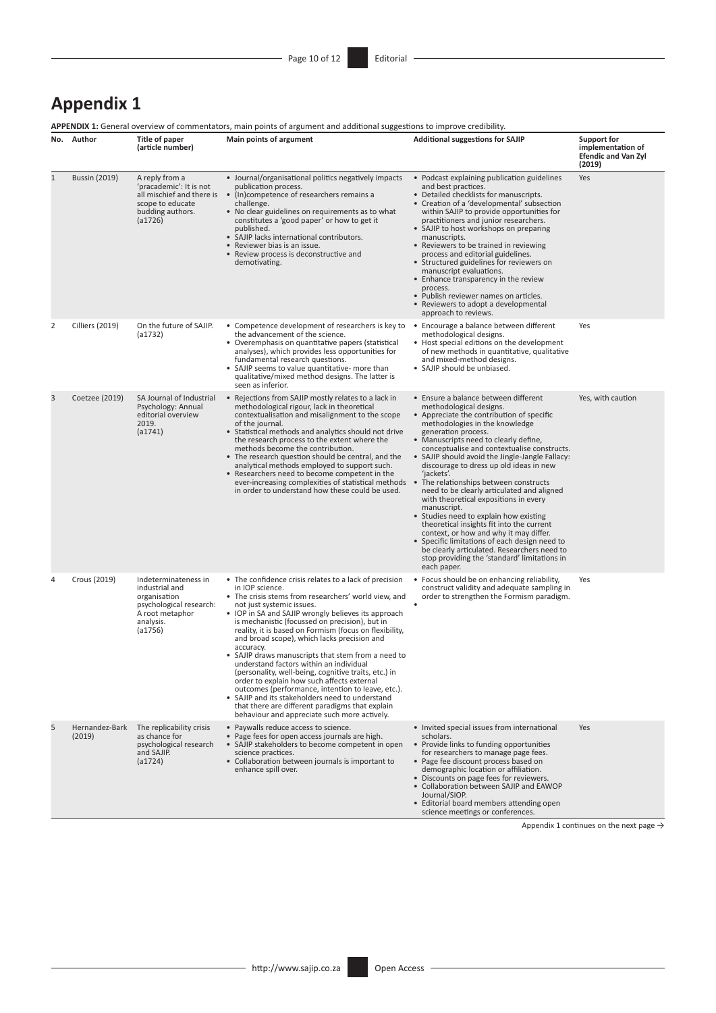## **Appendix 1**

**APPENDIX 1:** General overview of commentators, main points of argument and additional suggestions to improve credibility.

|              | No. Author               | Title of paper<br>(article number)                                                                                           | <b>APPENDIX 1:</b> General overview of commentators, main points of argument and additional suggestions to improve credibility.<br>Main points of argument                                                                                                                                                                                                                                                                                                                                                                                                                                                                                                                                                                                                                                                      | <b>Additional suggestions for SAJIP</b>                                                                                                                                                                                                                                                                                                                                                                                                                                                                                                                                                                                                                                                                                                                                                                                   | Support for<br>implementation of<br><b>Efendic and Van Zyl</b><br>(2019) |
|--------------|--------------------------|------------------------------------------------------------------------------------------------------------------------------|-----------------------------------------------------------------------------------------------------------------------------------------------------------------------------------------------------------------------------------------------------------------------------------------------------------------------------------------------------------------------------------------------------------------------------------------------------------------------------------------------------------------------------------------------------------------------------------------------------------------------------------------------------------------------------------------------------------------------------------------------------------------------------------------------------------------|---------------------------------------------------------------------------------------------------------------------------------------------------------------------------------------------------------------------------------------------------------------------------------------------------------------------------------------------------------------------------------------------------------------------------------------------------------------------------------------------------------------------------------------------------------------------------------------------------------------------------------------------------------------------------------------------------------------------------------------------------------------------------------------------------------------------------|--------------------------------------------------------------------------|
| $\mathbf{1}$ | <b>Bussin (2019)</b>     | A reply from a<br>'pracademic': It is not<br>all mischief and there is<br>scope to educate<br>budding authors.<br>(a1726)    | • Journal/organisational politics negatively impacts<br>publication process.<br>• (In)competence of researchers remains a<br>challenge.<br>• No clear guidelines on requirements as to what<br>constitutes a 'good paper' or how to get it<br>published.<br>• SAJIP lacks international contributors.<br>• Reviewer bias is an issue.<br>• Review process is deconstructive and<br>demotivating.                                                                                                                                                                                                                                                                                                                                                                                                                | • Podcast explaining publication guidelines<br>and best practices.<br>• Detailed checklists for manuscripts.<br>• Creation of a 'developmental' subsection<br>within SAJIP to provide opportunities for<br>practitioners and junior researchers.<br>• SAJIP to host workshops on preparing<br>manuscripts.<br>• Reviewers to be trained in reviewing<br>process and editorial guidelines.<br>• Structured guidelines for reviewers on<br>manuscript evaluations.<br>• Enhance transparency in the review<br>process.<br>• Publish reviewer names on articles.<br>• Reviewers to adopt a developmental<br>approach to reviews.                                                                                                                                                                                             | Yes                                                                      |
| 2            | <b>Cilliers (2019)</b>   | On the future of SAJIP.<br>(a1732)                                                                                           | • Competence development of researchers is key to<br>the advancement of the science.<br>• Overemphasis on quantitative papers (statistical<br>analyses), which provides less opportunities for<br>fundamental research questions.<br>• SAJIP seems to value quantitative- more than<br>qualitative/mixed method designs. The latter is<br>seen as inferior.                                                                                                                                                                                                                                                                                                                                                                                                                                                     | • Encourage a balance between different<br>methodological designs.<br>• Host special editions on the development<br>of new methods in quantitative, qualitative<br>and mixed-method designs.<br>• SAJIP should be unbiased.                                                                                                                                                                                                                                                                                                                                                                                                                                                                                                                                                                                               | Yes                                                                      |
| 3            | Coetzee (2019)           | SA Journal of Industrial<br>Psychology: Annual<br>editorial overview<br>2019.<br>(a1741)                                     | • Rejections from SAJIP mostly relates to a lack in<br>methodological rigour, lack in theoretical<br>contextualisation and misalignment to the scope<br>of the journal.<br>• Statistical methods and analytics should not drive<br>the research process to the extent where the<br>methods become the contribution.<br>• The research question should be central, and the<br>analytical methods employed to support such.<br>• Researchers need to become competent in the<br>ever-increasing complexities of statistical methods<br>in order to understand how these could be used.                                                                                                                                                                                                                            | • Ensure a balance between different<br>methodological designs.<br>• Appreciate the contribution of specific<br>methodologies in the knowledge<br>generation process.<br>• Manuscripts need to clearly define,<br>conceptualise and contextualise constructs.<br>• SAJIP should avoid the Jingle-Jangle Fallacy:<br>discourage to dress up old ideas in new<br>'jackets'.<br>• The relationships between constructs<br>need to be clearly articulated and aligned<br>with theoretical expositions in every<br>manuscript.<br>• Studies need to explain how existing<br>theoretical insights fit into the current<br>context, or how and why it may differ.<br>• Specific limitations of each design need to<br>be clearly articulated. Researchers need to<br>stop providing the 'standard' limitations in<br>each paper. | Yes, with caution                                                        |
| 4            | Crous (2019)             | Indeterminateness in<br>industrial and<br>organisation<br>psychological research:<br>A root metaphor<br>analysis.<br>(a1756) | • The confidence crisis relates to a lack of precision<br>in IOP science.<br>• The crisis stems from researchers' world view, and<br>not just systemic issues.<br>• IOP in SA and SAJIP wrongly believes its approach<br>is mechanistic (focussed on precision), but in<br>reality, it is based on Formism (focus on flexibility,<br>and broad scope), which lacks precision and<br>accuracy.<br>• SAJIP draws manuscripts that stem from a need to<br>understand factors within an individual<br>(personality, well-being, cognitive traits, etc.) in<br>order to explain how such affects external<br>outcomes (performance, intention to leave, etc.).<br>• SAJIP and its stakeholders need to understand<br>that there are different paradigms that explain<br>behaviour and appreciate such more actively. | • Focus should be on enhancing reliability,<br>construct validity and adequate sampling in<br>order to strengthen the Formism paradigm.                                                                                                                                                                                                                                                                                                                                                                                                                                                                                                                                                                                                                                                                                   | Yes                                                                      |
| 5            | Hernandez-Bark<br>(2019) | The replicability crisis<br>as chance for<br>psychological research<br>and SAJIP.<br>(a1724)                                 | • Paywalls reduce access to science.<br>• Page fees for open access journals are high.<br>• SAJIP stakeholders to become competent in open<br>science practices.<br>• Collaboration between journals is important to<br>enhance spill over.                                                                                                                                                                                                                                                                                                                                                                                                                                                                                                                                                                     | • Invited special issues from international<br>scholars.<br>• Provide links to funding opportunities<br>for researchers to manage page fees.<br>• Page fee discount process based on<br>demographic location or affiliation.<br>• Discounts on page fees for reviewers.<br>• Collaboration between SAJIP and EAWOP<br>Journal/SIOP.<br>• Editorial board members attending open<br>science meetings or conferences.                                                                                                                                                                                                                                                                                                                                                                                                       | Yes                                                                      |

Appendix 1 continues on the next page  $\rightarrow$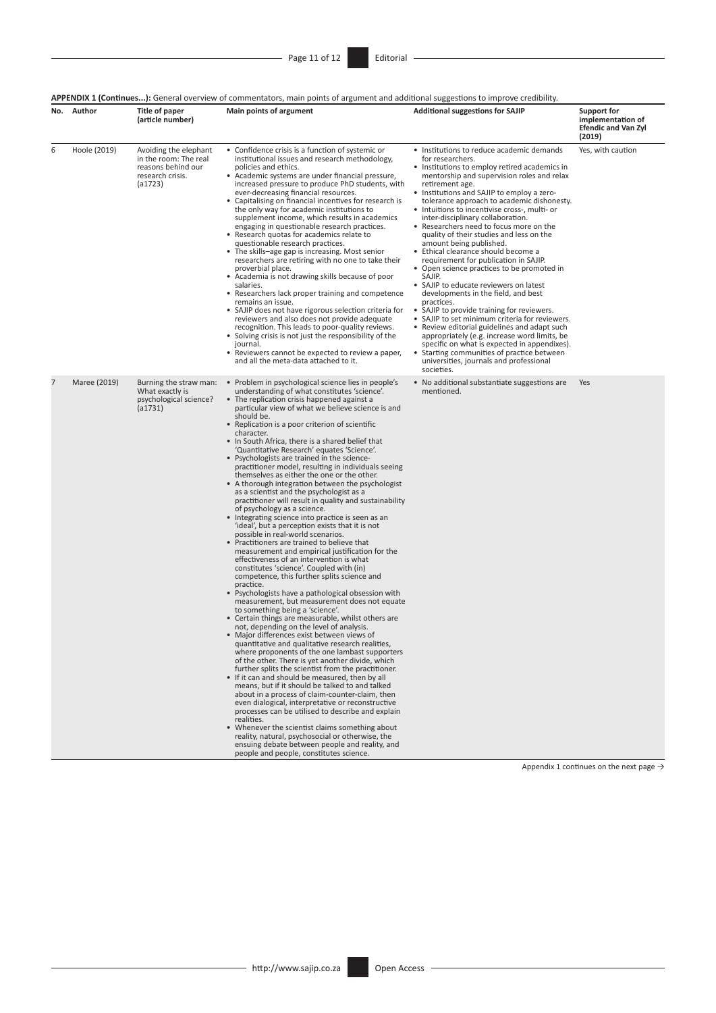**APPENDIX 1 (Continues...):** General overview of commentators, main points of argument and additional suggestions to improve credibility.

| No. | Author       | Title of paper<br>(article number)                                                                  | Main points of argument                                                                                                                                                                                                                                                                                                                                                                                                                                                                                                                                                                                                                                                                                                                                                                                                                                                                                                                                                                                                                                                                                                                                                                                                                                                                                                                                                                                                                                                                                                                                                                                                                                                                                                                                                                                                                                                                                                                                                                                                                                                                                                                | <b>Additional suggestions for SAJIP</b>                                                                                                                                                                                                                                                                                                                                                                                                                                                                                                                                                                                                                                                                                                                                                                                                                                                                                                                                                                                                                                           | Support for<br>implementation of<br><b>Efendic and Van Zyl</b><br>(2019) |
|-----|--------------|-----------------------------------------------------------------------------------------------------|----------------------------------------------------------------------------------------------------------------------------------------------------------------------------------------------------------------------------------------------------------------------------------------------------------------------------------------------------------------------------------------------------------------------------------------------------------------------------------------------------------------------------------------------------------------------------------------------------------------------------------------------------------------------------------------------------------------------------------------------------------------------------------------------------------------------------------------------------------------------------------------------------------------------------------------------------------------------------------------------------------------------------------------------------------------------------------------------------------------------------------------------------------------------------------------------------------------------------------------------------------------------------------------------------------------------------------------------------------------------------------------------------------------------------------------------------------------------------------------------------------------------------------------------------------------------------------------------------------------------------------------------------------------------------------------------------------------------------------------------------------------------------------------------------------------------------------------------------------------------------------------------------------------------------------------------------------------------------------------------------------------------------------------------------------------------------------------------------------------------------------------|-----------------------------------------------------------------------------------------------------------------------------------------------------------------------------------------------------------------------------------------------------------------------------------------------------------------------------------------------------------------------------------------------------------------------------------------------------------------------------------------------------------------------------------------------------------------------------------------------------------------------------------------------------------------------------------------------------------------------------------------------------------------------------------------------------------------------------------------------------------------------------------------------------------------------------------------------------------------------------------------------------------------------------------------------------------------------------------|--------------------------------------------------------------------------|
| 6   | Hoole (2019) | Avoiding the elephant<br>in the room: The real<br>reasons behind our<br>research crisis.<br>(a1723) | • Confidence crisis is a function of systemic or<br>institutional issues and research methodology,<br>policies and ethics.<br>• Academic systems are under financial pressure,<br>increased pressure to produce PhD students, with<br>ever-decreasing financial resources.<br>• Capitalising on financial incentives for research is<br>the only way for academic institutions to<br>supplement income, which results in academics<br>engaging in questionable research practices.<br>• Research quotas for academics relate to<br>questionable research practices.<br>• The skills-age gap is increasing. Most senior<br>researchers are retiring with no one to take their<br>proverbial place.<br>• Academia is not drawing skills because of poor<br>salaries.<br>• Researchers lack proper training and competence<br>remains an issue.<br>• SAJIP does not have rigorous selection criteria for<br>reviewers and also does not provide adequate<br>recognition. This leads to poor-quality reviews.<br>• Solving crisis is not just the responsibility of the<br>journal.<br>• Reviewers cannot be expected to review a paper,<br>and all the meta-data attached to it.                                                                                                                                                                                                                                                                                                                                                                                                                                                                                                                                                                                                                                                                                                                                                                                                                                                                                                                                                          | • Institutions to reduce academic demands<br>for researchers.<br>• Institutions to employ retired academics in<br>mentorship and supervision roles and relax<br>retirement age.<br>• Institutions and SAJIP to employ a zero-<br>tolerance approach to academic dishonesty.<br>• Intuitions to incentivise cross-, multi- or<br>inter-disciplinary collaboration.<br>• Researchers need to focus more on the<br>quality of their studies and less on the<br>amount being published.<br>• Ethical clearance should become a<br>requirement for publication in SAJIP.<br>• Open science practices to be promoted in<br>SAJIP.<br>• SAJIP to educate reviewers on latest<br>developments in the field, and best<br>practices.<br>• SAJIP to provide training for reviewers.<br>• SAJIP to set minimum criteria for reviewers.<br>• Review editorial guidelines and adapt such<br>appropriately (e.g. increase word limits, be<br>specific on what is expected in appendixes).<br>• Starting communities of practice between<br>universities, journals and professional<br>societies. | Yes, with caution                                                        |
| 7   | Maree (2019) | Burning the straw man:<br>What exactly is<br>psychological science?<br>(a1731)                      | • Problem in psychological science lies in people's<br>understanding of what constitutes 'science'.<br>• The replication crisis happened against a<br>particular view of what we believe science is and<br>should be.<br>• Replication is a poor criterion of scientific<br>character.<br>• In South Africa, there is a shared belief that<br>'Quantitative Research' equates 'Science'.<br>• Psychologists are trained in the science-<br>practitioner model, resulting in individuals seeing<br>themselves as either the one or the other.<br>• A thorough integration between the psychologist<br>as a scientist and the psychologist as a<br>practitioner will result in quality and sustainability<br>of psychology as a science.<br>• Integrating science into practice is seen as an<br>'ideal', but a perception exists that it is not<br>possible in real-world scenarios.<br>• Practitioners are trained to believe that<br>measurement and empirical justification for the<br>effectiveness of an intervention is what<br>constitutes 'science'. Coupled with (in)<br>competence, this further splits science and<br>practice.<br>Psychologists have a pathological obsession with<br>measurement, but measurement does not equate<br>to something being a 'science'.<br>• Certain things are measurable, whilst others are<br>not, depending on the level of analysis.<br>• Major differences exist between views of<br>quantitative and qualitative research realities,<br>where proponents of the one lambast supporters<br>of the other. There is yet another divide, which<br>further splits the scientist from the practitioner.<br>. If it can and should be measured, then by all<br>means, but if it should be talked to and talked<br>about in a process of claim-counter-claim, then<br>even dialogical, interpretative or reconstructive<br>processes can be utilised to describe and explain<br>realities.<br>• Whenever the scientist claims something about<br>reality, natural, psychosocial or otherwise, the<br>ensuing debate between people and reality, and<br>people and people, constitutes science. | • No additional substantiate suggestions are<br>mentioned.                                                                                                                                                                                                                                                                                                                                                                                                                                                                                                                                                                                                                                                                                                                                                                                                                                                                                                                                                                                                                        | Yes                                                                      |

Appendix 1 continues on the next page  $\rightarrow$